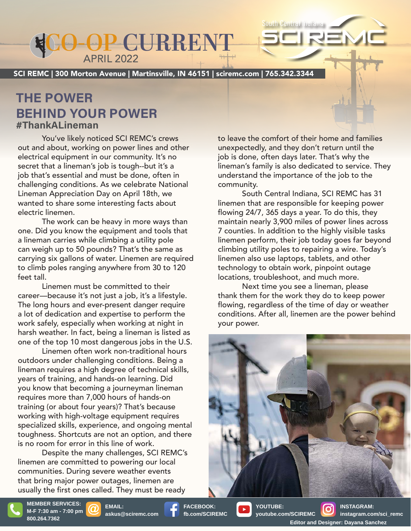## APRIL 2022 **CO-OP CURRENT CO-OP CURRENT**

SCI REMC | 300 Morton Avenue | Martinsville, IN 46151 | sciremc.com | 765.342.3344

### **THE POWER BEHIND YOUR POWER #ThankALineman**

You've likely noticed SCI REMC's crews out and about, working on power lines and other electrical equipment in our community. It's no secret that a lineman's job is tough--but it's a job that's essential and must be done, often in challenging conditions. As we celebrate National chanenging conditions. As we celebrate ivalid<br>Lineman Appreciation Day on April 18th, we wanted to share some interesting facts about electric linemen. Frame contracts to leave the comfort of their home are<br>
You've likely noticed SCI REMC's crews to leave the comfort of their home are<br>
at and about, working on power lines and other unexpectedly, and they don't return u<br>
e

Inc imement.<br>The work can be heavy in more ways than one. Did you know the equipment and tools that a lineman carries while climbing a utility pole can weigh up to 50 pounds? That's the same as can weigh up to 50 pounds? That's the same as<br>carrying six gallons of water. Linemen are required to climb poles ranging anywhere from 30 to 120 feet tall.  $t$  all, if the heater is the heater is the heater is the heater is the heater is the heater is the heater is  $\mathcal{L}_t$ 

Linemen must be committed to their career––because it's not just a job, it's a lifestyle. The long hours and ever-present danger require<br>a lot of dedication and expertise to perform the a lot of dedication and expertise to perform the work safely, especially when working at night in harsh weather. In fact, being a lineman is listed as one of the top 10 most dangerous jobs in the U.S.<br>Linemen often work non-traditional hours Linemen must be comm

Linemen often work non-traditional hours outdoors under challenging conditions. Being a lineman requires a high degree of technical skills, years of training, and hands-on learning. Did you know that becoming a journeyman lineman requires more than 7,000 hours of hands-on requires more than 7,000 hours of hands-on<br>training (or about four years)? That's because working with high-voltage equipment requires specialized skills, experience, and ongoing mental toughness. Shortcuts are not an option, and there toughness. Shortcuts are not an option,<br>is no room for error in this line of work. **APRIL 2022**<br> **Addition Avenue | Martins**<br> **ASK (COUR POWER**<br> **ASK (COUR POWER**<br> **asku** proticed SCI REMC's<br>
working on power lines are<br>
ment in our community. I<br>
prama's job is tough-but<br>
itial and must be done, of<br>
ditio

Despite the many challenges, SCI REMC's linemen are committed to powering our local communities. During severe weather events that bring major power outages, linemen are that bring major power outages, linemen are<br>usually the first ones called. They must be ready

Small space heaters, as their name says: heat a small space. understand the importance of the job to the onal community. to leave the comfort of their home and families unexpectedly, and they don't return until the job is done, often days later. That's why the lineman's family is also dedicated to service. They

South Central Indiana

South Central Indiana, SCI REMC has 31 t linemen that are responsible for keeping power flowing 24/7, 365 days a year. To do this, they that 7 counties. In addition to the highly visible tasks linemen perform, their job today goes far beyond as elimbing utility poles to repairing a wire. Today's  $\mu$ ired linemen also use laptops, tablets, and other 120 technology to obtain work, pinpoint outage locations, troubleshoot, and much more.<br>Along and the cause of the cause of the state of the state of the state of the state of the state of the state maintain nearly 3,900 miles of power lines across

wext time you see a lineman, please low-cost, easy way to save energy. Depending on the size thank them for the work they do to keep power of the conditions of the direct of day of weather the angle in a great next step. The angle of the angle of the step. The step of the step of the step. The step of the step of the step. The step of the step of the step. Th Loose-fill insulation typically costs \$1 to \$1.50 per square conditions. After all, linemen are the power behind flowing, regardless of the time of day or weather your power.



**askus@sciremc.com**

**FACEBOOK: fb.com/SCIREMC**